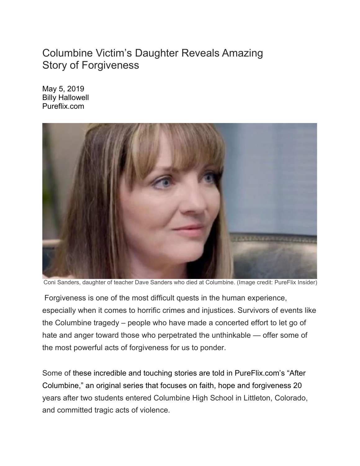## Columbine Victim's Daughter Reveals Amazing Story of Forgiveness

May 5, 2019 Billy Hallowell Pureflix.com



Coni Sanders, daughter of teacher Dave Sanders who died at Columbine. (Image credit: PureFlix Insider)

Forgiveness is one of the most difficult quests in the human experience, especially when it comes to horrific crimes and injustices. Survivors of events like the Columbine tragedy – people who have made a concerted effort to let go of hate and anger toward those who perpetrated the unthinkable — offer some of the most powerful acts of forgiveness for us to ponder.

Some of these [incredible and touching stories](https://insider.pureflix.com/news/the-incredible-god-stories-that-unfolded-at-columbine) are told in [PureFlix.com's "After](http://aftercolumbine.tv/)  [Columbine,](http://aftercolumbine.tv/)" an original series that focuses on [faith, hope and forgiveness](https://insider.pureflix.com/prayer-faith/5-healing-prayers-for-forgiveness) 20 years after two students entered Columbine High School in Littleton, Colorado, and committed tragic acts of violence.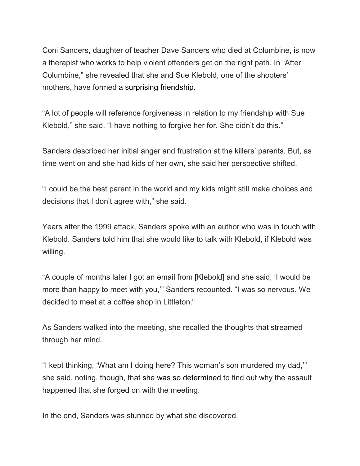Coni Sanders, daughter of teacher Dave Sanders who died at Columbine, is now a therapist who works to help violent offenders get on the right path. In "After Columbine," she revealed that she and Sue Klebold, one of the shooters' mothers, have formed [a surprising friendship.](https://insider.pureflix.com/news/the-incredible-god-stories-that-unfolded-at-columbine)

"A lot of people will reference forgiveness in relation to my friendship with Sue Klebold," she said. "I have nothing to forgive her for. She didn't do this."

Sanders described her initial anger and frustration at the killers' parents. But, as time went on and she had kids of her own, she said her perspective shifted.

"I could be the best parent in the world and my kids might still make choices and decisions that I don't agree with," she said.

Years after the 1999 attack, Sanders spoke with an author who was in touch with Klebold. Sanders told him that she would like to talk with Klebold, if Klebold was willing.

"A couple of months later I got an email from [Klebold] and she said, 'I would be more than happy to meet with you,'" Sanders recounted. "I was so nervous. We decided to meet at a coffee shop in Littleton."

As Sanders walked into the meeting, she recalled the thoughts that streamed through her mind.

"I kept thinking, 'What am I doing here? This woman's son murdered my dad,'" she said, noting, though, that [she was so determined](https://insider.pureflix.com/prayer-faith/columbine-shooting-anniversary-faith-forgiveness-and-hope) to find out why the assault happened that she forged on with the meeting.

In the end, Sanders was stunned by what she discovered.